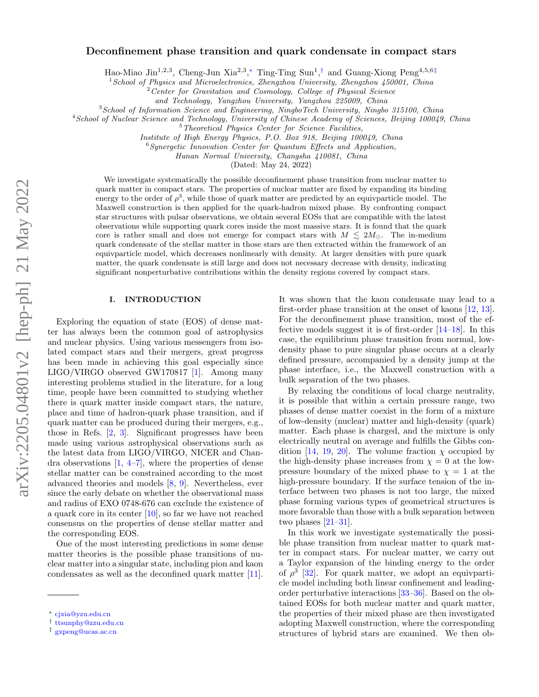# Deconfinement phase transition and quark condensate in compact stars

Hao-Miao Jin<sup>1,2,3</sup>, Cheng-Jun Xia<sup>2,3</sup>,\* Ting-Ting Sun<sup>1</sup>,<sup>[†](#page-0-1)</sup> and Guang-Xiong Peng<sup>4,5,6[‡](#page-0-2)</sup>

<sup>1</sup> School of Physics and Microelectronics, Zhengzhou University, Zhengzhou 450001, China

 $2$ Center for Gravitation and Cosmology, College of Physical Science

and Technology, Yangzhou University, Yangzhou 225009, China

 $3$ School of Information Science and Engineering, NingboTech University, Ningbo 315100, China

<sup>4</sup>School of Nuclear Science and Technology, University of Chinese Academy of Sciences, Beijing 100049, China

Institute of High Energy Physics, P.O. Box 918, Beijing 100049, China

 $6$ Synergetic Innovation Center for Quantum Effects and Application,

Hunan Normal University, Changsha 410081, China

(Dated: May 24, 2022)

We investigate systematically the possible deconfinement phase transition from nuclear matter to quark matter in compact stars. The properties of nuclear matter are fixed by expanding its binding energy to the order of  $\rho^3$ , while those of quark matter are predicted by an equivparticle model. The Maxwell construction is then applied for the quark-hadron mixed phase. By confronting compact star structures with pulsar observations, we obtain several EOSs that are compatible with the latest observations while supporting quark cores inside the most massive stars. It is found that the quark core is rather small and does not emerge for compact stars with  $M \leq 2M_{\odot}$ . The in-medium quark condensate of the stellar matter in those stars are then extracted within the framework of an equivparticle model, which decreases nonlinearly with density. At larger densities with pure quark matter, the quark condensate is still large and does not necessary decrease with density, indicating significant nonperturbative contributions within the density regions covered by compact stars.

## I. INTRODUCTION

Exploring the equation of state (EOS) of dense matter has always been the common goal of astrophysics and nuclear physics. Using various messengers from isolated compact stars and their mergers, great progress has been made in achieving this goal especially since LIGO/VIRGO observed GW170817 [\[1\]](#page-7-0). Among many interesting problems studied in the literature, for a long time, people have been committed to studying whether there is quark matter inside compact stars, the nature, place and time of hadron-quark phase transition, and if quark matter can be produced during their mergers, e.g., those in Refs. [\[2,](#page-7-1) [3\]](#page-7-2). Significant progresses have been made using various astrophysical observations such as the latest data from LIGO/VIRGO, NICER and Chandra observations  $[1, 4-7]$  $[1, 4-7]$  $[1, 4-7]$  $[1, 4-7]$ , where the properties of dense stellar matter can be constrained according to the most advanced theories and models [\[8,](#page-7-5) [9\]](#page-7-6). Nevertheless, ever since the early debate on whether the observational mass and radius of EXO 0748-676 can exclude the existence of a quark core in its center [\[10\]](#page-7-7), so far we have not reached consensus on the properties of dense stellar matter and the corresponding EOS.

One of the most interesting predictions in some dense matter theories is the possible phase transitions of nuclear matter into a singular state, including pion and kaon condensates as well as the deconfined quark matter [\[11\]](#page-7-8). It was shown that the kaon condensate may lead to a first-order phase transition at the onset of kaons [\[12,](#page-7-9) [13\]](#page-7-10). For the deconfinement phase transition, most of the effective models suggest it is of first-order [\[14](#page-7-11)[–18\]](#page-7-12). In this case, the equilibrium phase transition from normal, lowdensity phase to pure singular phase occurs at a clearly defined pressure, accompanied by a density jump at the phase interface, i.e., the Maxwell construction with a bulk separation of the two phases.

By relaxing the conditions of local charge neutrality, it is possible that within a certain pressure range, two phases of dense matter coexist in the form of a mixture of low-density (nuclear) matter and high-density (quark) matter. Each phase is charged, and the mixture is only electrically neutral on average and fulfills the Gibbs con-dition [\[14,](#page-7-11) [19,](#page-7-13) [20\]](#page-7-14). The volume fraction  $\chi$  occupied by the high-density phase increases from  $\chi = 0$  at the lowpressure boundary of the mixed phase to  $\chi = 1$  at the high-pressure boundary. If the surface tension of the interface between two phases is not too large, the mixed phase forming various types of geometrical structures is more favorable than those with a bulk separation between two phases  $[21-31]$  $[21-31]$ .

In this work we investigate systematically the possible phase transition from nuclear matter to quark matter in compact stars. For nuclear matter, we carry out a Taylor expansion of the binding energy to the order of  $\rho^3$  [\[32\]](#page-7-17). For quark matter, we adopt an equivparticle model including both linear confinement and leadingorder perturbative interactions [\[33](#page-7-18)[–36\]](#page-7-19). Based on the obtained EOSs for both nuclear matter and quark matter, the properties of their mixed phase are then investigated adopting Maxwell construction, where the corresponding structures of hybrid stars are examined. We then ob-

<sup>5</sup>Theoretical Physics Center for Science Facilities,

<span id="page-0-0"></span><sup>∗</sup> [cjxia@yzu.edu.cn](mailto:cjxia@yzu.edu.cn)

<span id="page-0-1"></span><sup>†</sup> [ttsunphy@zzu.edu.cn](mailto:ttsunphy@zzu.edu.cn)

<span id="page-0-2"></span><sup>‡</sup> [gxpeng@ucas.ac.cn](mailto:gxpeng@ucas.ac.cn)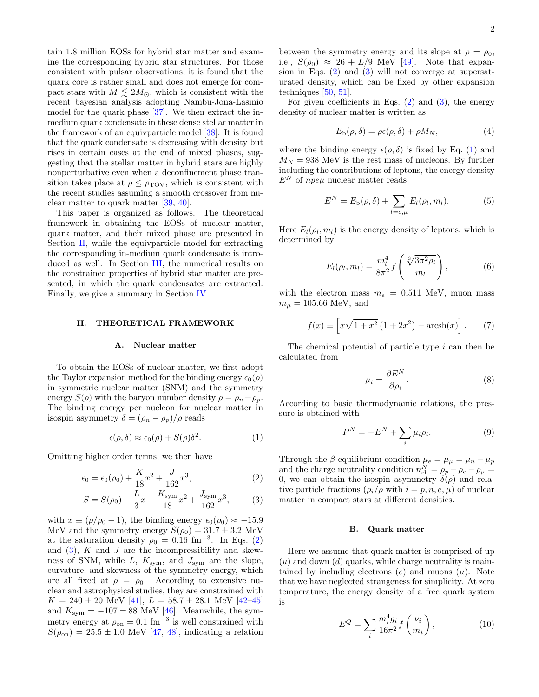tain 1.8 million EOSs for hybrid star matter and examine the corresponding hybrid star structures. For those consistent with pulsar observations, it is found that the quark core is rather small and does not emerge for compact stars with  $M \lesssim 2 M_{\odot}$ , which is consistent with the recent bayesian analysis adopting Nambu-Jona-Lasinio model for the quark phase [\[37\]](#page-7-20). We then extract the inmedium quark condensate in these dense stellar matter in the framework of an equivparticle model [\[38\]](#page-7-21). It is found that the quark condensate is decreasing with density but rises in certain cases at the end of mixed phases, suggesting that the stellar matter in hybrid stars are highly nonperturbative even when a deconfinement phase transition takes place at  $\rho \leq \rho_{\text{TOV}}$ , which is consistent with the recent studies assuming a smooth crossover from nuclear matter to quark matter [\[39,](#page-7-22) [40\]](#page-7-23).

This paper is organized as follows. The theoretical framework in obtaining the EOSs of nuclear matter, quark matter, and their mixed phase are presented in Section [II,](#page-1-0) while the equivparticle model for extracting the corresponding in-medium quark condensate is introduced as well. In Section [III,](#page-4-0) the numerical results on the constrained properties of hybrid star matter are presented, in which the quark condensates are extracted. Finally, we give a summary in Section [IV.](#page-6-0)

### <span id="page-1-0"></span>II. THEORETICAL FRAMEWORK

#### <span id="page-1-6"></span>A. Nuclear matter

To obtain the EOSs of nuclear matter, we first adopt the Taylor expansion method for the binding energy  $\epsilon_0(\rho)$ in symmetric nuclear matter (SNM) and the symmetry energy  $S(\rho)$  with the baryon number density  $\rho = \rho_n + \rho_p$ . The binding energy per nucleon for nuclear matter in isospin asymmetry  $\delta = (\rho_n - \rho_p)/\rho$  reads

<span id="page-1-2"></span>
$$
\epsilon(\rho,\delta) \approx \epsilon_0(\rho) + S(\rho)\delta^2. \tag{1}
$$

Omitting higher order terms, we then have

<span id="page-1-1"></span>
$$
\epsilon_0 = \epsilon_0(\rho_0) + \frac{K}{18}x^2 + \frac{J}{162}x^3,\tag{2}
$$

$$
S = S(\rho_0) + \frac{L}{3}x + \frac{K_{\text{sym}}}{18}x^2 + \frac{J_{\text{sym}}}{162}x^3,\tag{3}
$$

with  $x \equiv (\rho/\rho_0 - 1)$ , the binding energy  $\epsilon_0(\rho_0) \approx -15.9$ MeV and the symmetry energy  $S(\rho_0) = 31.7 \pm 3.2$  MeV at the saturation density  $\rho_0 = 0.16$  fm<sup>-3</sup>. In Eqs. [\(2\)](#page-1-1) and  $(3)$ , K and J are the incompressibility and skewness of SNM, while  $L$ ,  $K_{sym}$ , and  $J_{sym}$  are the slope, curvature, and skewness of the symmetry energy, which are all fixed at  $\rho = \rho_0$ . According to extensive nuclear and astrophysical studies, they are constrained with  $K = 240 \pm 20$  MeV [\[41\]](#page-7-24),  $L = 58.7 \pm 28.1$  MeV [\[42](#page-7-25)-45] and  $K_{sym} = -107 \pm 88$  MeV [\[46\]](#page-7-27). Meanwhile, the symmetry energy at  $\rho_{on} = 0.1$  fm<sup>-3</sup> is well constrained with  $S(\rho_{\text{on}}) = 25.5 \pm 1.0 \text{ MeV } [47, 48]$  $S(\rho_{\text{on}}) = 25.5 \pm 1.0 \text{ MeV } [47, 48]$  $S(\rho_{\text{on}}) = 25.5 \pm 1.0 \text{ MeV } [47, 48]$  $S(\rho_{\text{on}}) = 25.5 \pm 1.0 \text{ MeV } [47, 48]$ , indicating a relation

between the symmetry energy and its slope at  $\rho = \rho_0$ , i.e.,  $S(\rho_0) \approx 26 + L/9$  MeV [\[49\]](#page-8-2). Note that expansion in Eqs. [\(2\)](#page-1-1) and [\(3\)](#page-1-1) will not converge at supersaturated density, which can be fixed by other expansion techniques [\[50,](#page-8-3) [51\]](#page-8-4).

For given coefficients in Eqs.  $(2)$  and  $(3)$ , the energy density of nuclear matter is written as

<span id="page-1-5"></span>
$$
E_{\mathbf{b}}(\rho,\delta) = \rho \epsilon(\rho,\delta) + \rho M_N, \tag{4}
$$

where the binding energy  $\epsilon(\rho, \delta)$  is fixed by Eq. [\(1\)](#page-1-2) and  $M_N = 938$  MeV is the rest mass of nucleons. By further including the contributions of leptons, the energy density  ${\cal E}^N$  of  $npe\mu$  nuclear matter reads

<span id="page-1-7"></span>
$$
E^N = E_{\mathbf{b}}(\rho, \delta) + \sum_{l=e,\mu} E_l(\rho_l, m_l). \tag{5}
$$

Here  $E_l(\rho_l, m_l)$  is the energy density of leptons, which is determined by

$$
E_l(\rho_l, m_l) = \frac{m_l^4}{8\pi^2} f\left(\frac{\sqrt[3]{3\pi^2 \rho_l}}{m_l}\right),\tag{6}
$$

with the electron mass  $m_e = 0.511$  MeV, muon mass  $m_{\mu} = 105.66 \text{ MeV}, \text{ and}$ 

<span id="page-1-3"></span>
$$
f(x) \equiv \left[ x\sqrt{1+x^2} \left(1+2x^2\right) - \operatorname{arcsh}(x) \right].
$$
 (7)

The chemical potential of particle type  $i$  can then be calculated from

$$
\mu_i = \frac{\partial E^N}{\partial \rho_i}.\tag{8}
$$

According to basic thermodynamic relations, the pressure is obtained with

<span id="page-1-8"></span>
$$
P^N = -E^N + \sum_i \mu_i \rho_i.
$$
\n(9)

Through the  $\beta$ -equilibrium condition  $\mu_e = \mu_\mu = \mu_n - \mu_p$ and the charge neutrality condition  $n_{\text{ch}}^N = \rho_p - \rho_e - \rho_\mu =$ 0, we can obtain the isospin asymmetry  $\delta(\rho)$  and relative particle fractions  $(\rho_i/\rho \text{ with } i = p, n, e, \mu)$  of nuclear matter in compact stars at different densities.

## B. Quark matter

Here we assume that quark matter is comprised of up  $(u)$  and down  $(d)$  quarks, while charge neutrality is maintained by including electrons  $(e)$  and muons  $(\mu)$ . Note that we have neglected strangeness for simplicity. At zero temperature, the energy density of a free quark system is

<span id="page-1-4"></span>
$$
E^{Q} = \sum_{i} \frac{m_{i}^{4} g_{i}}{16\pi^{2}} f\left(\frac{\nu_{i}}{m_{i}}\right),
$$
 (10)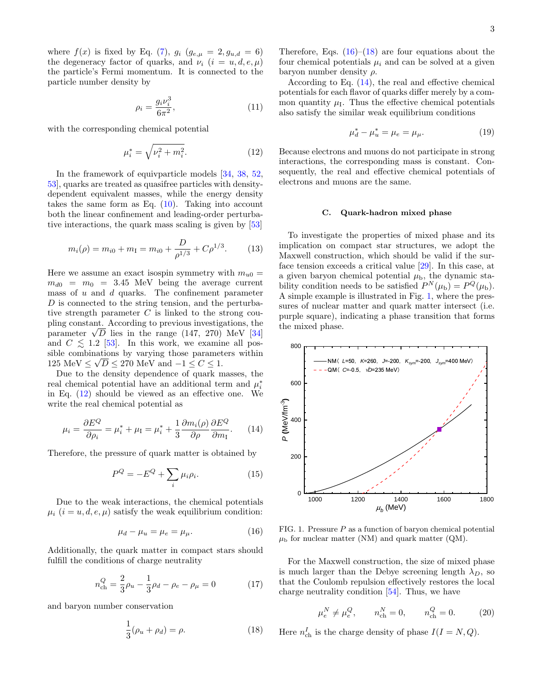where  $f(x)$  is fixed by Eq. [\(7\)](#page-1-3),  $g_i$  ( $g_{e,\mu} = 2, g_{u,d} = 6$ ) the degeneracy factor of quarks, and  $\nu_i$   $(i = u, d, e, \mu)$ the particle's Fermi momentum. It is connected to the particle number density by

$$
\rho_i = \frac{g_i \nu_i^3}{6\pi^2},\tag{11}
$$

with the corresponding chemical potential

<span id="page-2-0"></span>
$$
\mu_i^* = \sqrt{\nu_i^2 + m_i^2}.\tag{12}
$$

In the framework of equivparticle models [\[34,](#page-7-28) [38,](#page-7-21) [52,](#page-8-5) [53\]](#page-8-6), quarks are treated as quasifree particles with densitydependent equivalent masses, while the energy density takes the same form as Eq.  $(10)$ . Taking into account both the linear confinement and leading-order perturbative interactions, the quark mass scaling is given by [\[53\]](#page-8-6)

<span id="page-2-5"></span>
$$
m_i(\rho) = m_{i0} + m_{\rm I} = m_{i0} + \frac{D}{\rho^{1/3}} + C\rho^{1/3}.
$$
 (13)

Here we assume an exact isospin symmetry with  $m_{u0} =$  $m_{d0} = m_0 = 3.45$  MeV being the average current mass of  $u$  and  $d$  quarks. The confinement parameter D is connected to the string tension, and the perturbative strength parameter  $C$  is linked to the strong coupling constant. According to previous investigations, the pling constant. According to previous investigations, the parameter  $\sqrt{D}$  lies in the range (147, 270) MeV [\[34\]](#page-7-28) and  $C \leq 1.2$  [\[53\]](#page-8-6). In this work, we examine all possible combinations by varying those parameters within 125 MeV  $\leq \sqrt{D} \leq 270$  MeV and  $-1 \leq C \leq 1$ .

Due to the density dependence of quark masses, the real chemical potential have an additional term and  $\mu_i^*$ in Eq. [\(12\)](#page-2-0) should be viewed as an effective one. We write the real chemical potential as

<span id="page-2-3"></span>
$$
\mu_i = \frac{\partial E^Q}{\partial \rho_i} = \mu_i^* + \mu_I = \mu_i^* + \frac{1}{3} \frac{\partial m_i(\rho)}{\partial \rho} \frac{\partial E^Q}{\partial m_I}.
$$
 (14)

Therefore, the pressure of quark matter is obtained by

<span id="page-2-7"></span>
$$
P^Q = -E^Q + \sum_i \mu_i \rho_i. \tag{15}
$$

Due to the weak interactions, the chemical potentials  $\mu_i$  (i = u, d, e,  $\mu$ ) satisfy the weak equilibrium condition:

<span id="page-2-1"></span>
$$
\mu_d - \mu_u = \mu_e = \mu_\mu. \tag{16}
$$

Additionally, the quark matter in compact stars should fulfill the conditions of charge neutrality

$$
n_{\rm ch}^Q = \frac{2}{3}\rho_u - \frac{1}{3}\rho_d - \rho_e - \rho_\mu = 0 \tag{17}
$$

and baryon number conservation

<span id="page-2-2"></span>
$$
\frac{1}{3}(\rho_u + \rho_d) = \rho.
$$
\n(18)

Therefore, Eqs.  $(16)$ – $(18)$  are four equations about the four chemical potentials  $\mu_i$  and can be solved at a given baryon number density  $\rho$ .

According to Eq. [\(14\)](#page-2-3), the real and effective chemical potentials for each flavor of quarks differ merely by a common quantity  $\mu_I$ . Thus the effective chemical potentials also satisfy the similar weak equilibrium conditions

$$
\mu_d^* - \mu_u^* = \mu_e = \mu_\mu. \tag{19}
$$

Because electrons and muons do not participate in strong interactions, the corresponding mass is constant. Consequently, the real and effective chemical potentials of electrons and muons are the same.

#### <span id="page-2-6"></span>C. Quark-hadron mixed phase

To investigate the properties of mixed phase and its implication on compact star structures, we adopt the Maxwell construction, which should be valid if the surface tension exceeds a critical value [\[29\]](#page-7-29). In this case, at a given baryon chemical potential  $\mu_{\rm b}$ , the dynamic stability condition needs to be satisfied  $P^{N}(\mu_{b}) = P^{Q}(\mu_{b}).$ A simple example is illustrated in Fig. [1,](#page-2-4) where the pressures of nuclear matter and quark matter intersect (i.e. purple square), indicating a phase transition that forms the mixed phase.



<span id="page-2-4"></span>FIG. 1. Pressure  $P$  as a function of baryon chemical potential  $\mu_{\rm b}$  for nuclear matter (NM) and quark matter (QM).

For the Maxwell construction, the size of mixed phase is much larger than the Debye screening length  $\lambda_D$ , so that the Coulomb repulsion effectively restores the local charge neutrality condition [\[54\]](#page-8-7). Thus, we have

$$
\mu_e^N \neq \mu_e^Q, \qquad n_{\rm ch}^N = 0, \qquad n_{\rm ch}^Q = 0. \tag{20}
$$

Here  $n_{\text{ch}}^{I}$  is the charge density of phase  $I(I = N, Q)$ .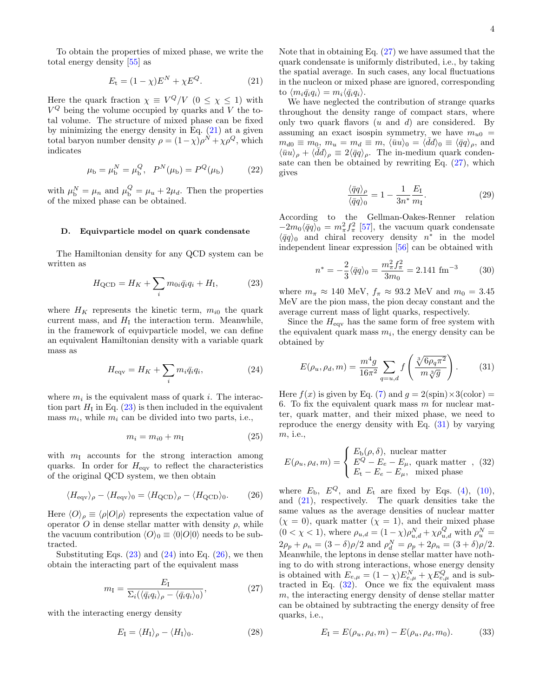To obtain the properties of mixed phase, we write the total energy density [\[55\]](#page-8-8) as

<span id="page-3-0"></span>
$$
E_{t} = (1 - \chi)E^{N} + \chi E^{Q}.
$$
 (21)

Here the quark fraction  $\chi \equiv V^Q/V$   $(0 \leq \chi \leq 1)$  with  $V^Q$  being the volume occupied by quarks and V the total volume. The structure of mixed phase can be fixed by minimizing the energy density in Eq.  $(21)$  at a given total baryon number density  $\rho = (1 - \chi)\rho^N + \chi\rho^Q$ , which indicates

<span id="page-3-8"></span>
$$
\mu_{\rm b} = \mu_{\rm b}^N = \mu_{\rm b}^Q, \quad P^N(\mu_{\rm b}) = P^Q(\mu_{\rm b}) \tag{22}
$$

with  $\mu_{\rm b}^N = \mu_n$  and  $\mu_{\rm b}^Q = \mu_u + 2\mu_d$ . Then the properties of the mixed phase can be obtained.

#### <span id="page-3-9"></span>D. Equivparticle model on quark condensate

The Hamiltonian density for any QCD system can be written as

<span id="page-3-1"></span>
$$
H_{\rm QCD} = H_K + \sum_i m_{0i} \bar{q}_i q_i + H_{\rm I},\tag{23}
$$

where  $H_K$  represents the kinetic term,  $m_{i0}$  the quark current mass, and  $H<sub>I</sub>$  the interaction term. Meanwhile, in the framework of equivparticle model, we can define an equivalent Hamiltonian density with a variable quark mass as

<span id="page-3-2"></span>
$$
H_{\text{eqv}} = H_K + \sum_i m_i \bar{q}_i q_i, \tag{24}
$$

where  $m_i$  is the equivalent mass of quark i. The interaction part  $H_I$  in Eq. [\(23\)](#page-3-1) is then included in the equivalent mass  $m_i$ , while  $m_i$  can be divided into two parts, i.e.,

$$
m_i = m_{i0} + m_{\rm I} \tag{25}
$$

with  $m<sub>I</sub>$  accounts for the strong interaction among quarks. In order for  $H_{\text{eav}}$  to reflect the characteristics of the original QCD system, we then obtain

<span id="page-3-3"></span>
$$
\langle H_{\text{eqv}} \rangle_{\rho} - \langle H_{\text{eqv}} \rangle_{0} = \langle H_{\text{QCD}} \rangle_{\rho} - \langle H_{\text{QCD}} \rangle_{0}.
$$
 (26)

Here  $\langle O \rangle_{\rho} \equiv \langle \rho | O | \rho \rangle$  represents the expectation value of operator O in dense stellar matter with density  $\rho$ , while the vacuum contribution  $\langle O \rangle_0 \equiv \langle 0|O|0 \rangle$  needs to be subtracted.

Substituting Eqs.  $(23)$  and  $(24)$  into Eq.  $(26)$ , we then obtain the interacting part of the equivalent mass

<span id="page-3-4"></span>
$$
m_{\rm I} = \frac{E_{\rm I}}{\Sigma_i(\langle \bar{q}_i q_i \rangle_\rho - \langle \bar{q}_i q_i \rangle_0)},\tag{27}
$$

with the interacting energy density

$$
E_{\rm I} = \langle H_{\rm I} \rangle_{\rho} - \langle H_{\rm I} \rangle_{0}. \tag{28}
$$

Note that in obtaining Eq.  $(27)$  we have assumed that the quark condensate is uniformly distributed, i.e., by taking the spatial average. In such cases, any local fluctuations in the nucleon or mixed phase are ignored, corresponding to  $\langle m_i \bar{q}_i q_i \rangle = m_i \langle \bar{q}_i q_i \rangle$ .

We have neglected the contribution of strange quarks throughout the density range of compact stars, where only two quark flavors  $(u \text{ and } d)$  are considered. By assuming an exact isospin symmetry, we have  $m_{u0}$  =  $m_{d0} \equiv m_0, m_u = m_d \equiv m, \ \langle \bar{u}u \rangle_0 = \langle \bar{d}d \rangle_0 \equiv \langle \bar{q}q \rangle_\rho$ , and  $\langle \bar{u}u \rangle_{\rho} + \langle \bar{d}d \rangle_{\rho} \equiv 2\langle \bar{q}q \rangle_{\rho}$ . The in-medium quark condensate can then be obtained by rewriting Eq.  $(27)$ , which gives

<span id="page-3-7"></span>
$$
\frac{\langle \bar{q}q \rangle_{\rho}}{\langle \bar{q}q \rangle_{0}} = 1 - \frac{1}{3n^*} \frac{E_{\rm I}}{m_{\rm I}}.
$$
\n(29)

According to the Gellman-Oakes-Renner relation  $-2m_0\langle \bar{q}q\rangle_0 = m_\pi^2 f_\pi^2$  [\[57\]](#page-8-9), the vacuum quark condensate  $\langle \bar{q}q \rangle_0$  and chiral recovery density  $n^*$  in the model independent linear expression [\[56\]](#page-8-10) can be obtained with

$$
n^* = -\frac{2}{3}\langle \bar{q}q \rangle_0 = \frac{m_\pi^2 f_\pi^2}{3m_0} = 2.141 \text{ fm}^{-3} \tag{30}
$$

where  $m_{\pi} \approx 140$  MeV,  $f_{\pi} \approx 93.2$  MeV and  $m_0 = 3.45$ MeV are the pion mass, the pion decay constant and the average current mass of light quarks, respectively.

Since the  $H_{\text{eav}}$  has the same form of free system with the equivalent quark mass  $m_i$ , the energy density can be obtained by

<span id="page-3-5"></span>
$$
E(\rho_u, \rho_d, m) = \frac{m^4 g}{16\pi^2} \sum_{q=u,d} f\left(\frac{\sqrt[3]{6\rho_q \pi^2}}{m \sqrt[3]{g}}\right).
$$
 (31)

Here  $f(x)$  is given by Eq. [\(7\)](#page-1-3) and  $g = 2(\text{spin}) \times 3(\text{color}) =$ 6. To fix the equivalent quark mass  $m$  for nuclear matter, quark matter, and their mixed phase, we need to reproduce the energy density with Eq. [\(31\)](#page-3-5) by varying m, i.e.,

<span id="page-3-6"></span>
$$
E(\rho_u, \rho_d, m) = \begin{cases} E_b(\rho, \delta), \text{ nuclear matter} \\ E^Q - E_e - E_\mu, \text{ quark matter} , (32) \\ E_t - E_e - E_\mu, \text{ mixed phase} \end{cases}
$$

where  $E_{\rm b}$ ,  $E^{Q}$ , and  $E_{\rm t}$  are fixed by Eqs. [\(4\)](#page-1-5), [\(10\)](#page-1-4), and [\(21\)](#page-3-0), respectively. The quark densities take the same values as the average densities of nuclear matter  $(\chi = 0)$ , quark matter  $(\chi = 1)$ , and their mixed phase  $(0 < \chi < 1)$ , where  $\rho_{u,d} = (1 - \chi)\rho_{u,d}^N + \chi \rho_{u,d}^Q$  with  $\rho_u^N =$  $2\rho_p + \rho_n = (3 - \delta)\rho/2$  and  $\rho_d^N = \rho_p + 2\rho_n = (3 + \delta)\rho/2$ . Meanwhile, the leptons in dense stellar matter have nothing to do with strong interactions, whose energy density is obtained with  $E_{e,\mu} = (1 - \chi)E_{e,\mu}^{N} + \chi E_{e,\mu}^{Q}$  and is subtracted in Eq.  $(32)$ . Once we fix the equivalent mass m, the interacting energy density of dense stellar matter can be obtained by subtracting the energy density of free quarks, i.e.,

$$
E_{\rm I} = E(\rho_u, \rho_d, m) - E(\rho_u, \rho_d, m_0). \tag{33}
$$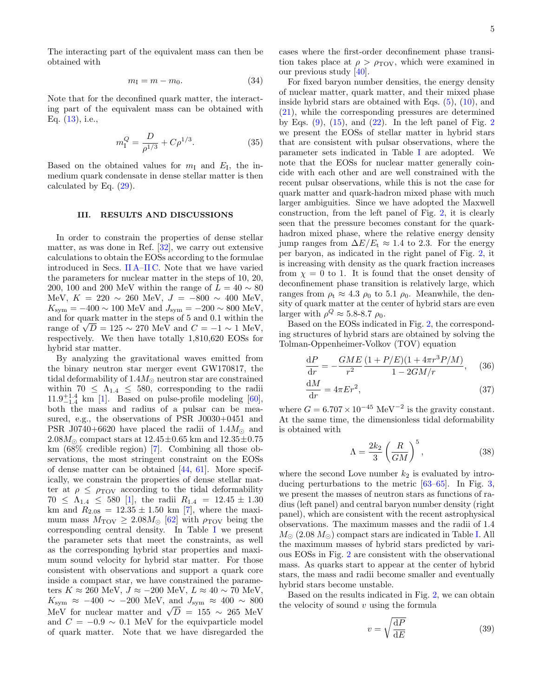The interacting part of the equivalent mass can then be obtained with

$$
m_{\rm I} = m - m_0. \tag{34}
$$

Note that for the deconfined quark matter, the interacting part of the equivalent mass can be obtained with Eq. [\(13\)](#page-2-5), i.e.,

$$
m_{\rm I}^Q = \frac{D}{\rho^{1/3}} + C\rho^{1/3}.
$$
 (35)

Based on the obtained values for  $m<sub>I</sub>$  and  $E<sub>I</sub>$ , the inmedium quark condensate in dense stellar matter is then calculated by Eq. [\(29\)](#page-3-7).

#### <span id="page-4-0"></span>III. RESULTS AND DISCUSSIONS

In order to constrain the properties of dense stellar matter, as was done in Ref. [\[32\]](#page-7-17), we carry out extensive calculations to obtain the EOSs according to the formulae introduced in Secs. [II A–](#page-1-6)[II C.](#page-2-6) Note that we have varied the parameters for nuclear matter in the steps of 10, 20, 200, 100 and 200 MeV within the range of  $L = 40 \sim 80$ MeV,  $K = 220 \sim 260$  MeV,  $J = -800 \sim 400$  MeV,  $K_{\rm sym} = -400 \sim 100$  MeV and  $J_{\rm sym} = -200 \sim 800$  MeV, and for quark matter in the steps of 5 and 0.1 within the and for quark matter in the steps of 5 and 0.1 within the range of  $\sqrt{D} = 125 \sim 270$  MeV and  $C = -1 \sim 1$  MeV, respectively. We then have totally 1,810,620 EOSs for hybrid star matter.

By analyzing the gravitational waves emitted from the binary neutron star merger event GW170817, the tidal deformability of  $1.4M_{\odot}$  neutron star are constrained within 70  $\leq \Lambda_{1.4} \leq 580$ , corresponding to the radii  $11.9^{+1.4}_{-1.4}$  km [\[1\]](#page-7-0). Based on pulse-profile modeling [\[60\]](#page-8-11), both the mass and radius of a pulsar can be measured, e.g., the observations of PSR J0030+0451 and PSR J0740+6620 have placed the radii of  $1.4M_{\odot}$  and  $2.08M_{\odot}$  compact stars at  $12.45 \pm 0.65$  km and  $12.35 \pm 0.75$ km (68% credible region) [\[7\]](#page-7-4). Combining all those observations, the most stringent constraint on the EOSs of dense matter can be obtained [\[44,](#page-7-30) [61\]](#page-8-12). More specifically, we constrain the properties of dense stellar matter at  $\rho \leq \rho_{\text{TOV}}$  according to the tidal deformability  $70 \leq \Lambda_{1.4} \leq 580$  [\[1\]](#page-7-0), the radii  $R_{1.4} = 12.45 \pm 1.30$ km and  $R_{2.08} = 12.35 \pm 1.50$  km [\[7\]](#page-7-4), where the maximum mass  $M_{\text{TOV}} \geq 2.08 M_{\odot}$  [\[62\]](#page-8-13) with  $\rho_{\text{TOV}}$  being the corresponding central density. In Table [I](#page-5-0) we present the parameter sets that meet the constraints, as well as the corresponding hybrid star properties and maximum sound velocity for hybrid star matter. For those consistent with observations and support a quark core inside a compact star, we have constrained the parameters  $K \approx 260$  MeV,  $J \approx -200$  MeV,  $L \approx 40 \sim 70$  MeV,  $K_{\rm sym} \approx -400 \sim -200$  MeV, and  $J_{\rm sym} \approx 400 \sim 800$  $\Lambda_{\text{sym}} \approx -400 \approx -200 \text{ meV}$ , and  $J_{\text{sym}} \approx 400 \approx 800 \text{ MeV}$ <br>MeV for nuclear matter and  $\sqrt{D} = 155 \sim 265 \text{ MeV}$ and  $C = -0.9 \sim 0.1$  MeV for the equivparticle model of quark matter. Note that we have disregarded the

cases where the first-order deconfinement phase transition takes place at  $\rho > \rho_{\text{TOV}}$ , which were examined in our previous study [\[40\]](#page-7-23).

For fixed baryon number densities, the energy density of nuclear matter, quark matter, and their mixed phase inside hybrid stars are obtained with Eqs.  $(5)$ ,  $(10)$ , and [\(21\)](#page-3-0), while the corresponding pressures are determined by Eqs.  $(9)$ ,  $(15)$ , and  $(22)$ . In the left panel of Fig. [2](#page-5-1) we present the EOSs of stellar matter in hybrid stars that are consistent with pulsar observations, where the parameter sets indicated in Table [I](#page-5-0) are adopted. We note that the EOSs for nuclear matter generally coincide with each other and are well constrained with the recent pulsar observations, while this is not the case for quark matter and quark-hadron mixed phase with much larger ambiguities. Since we have adopted the Maxwell construction, from the left panel of Fig. [2,](#page-5-1) it is clearly seen that the pressure becomes constant for the quarkhadron mixed phase, where the relative energy density jump ranges from  $\Delta E/E_t \approx 1.4$  to 2.3. For the energy per baryon, as indicated in the right panel of Fig. [2,](#page-5-1) it is increasing with density as the quark fraction increases from  $\chi = 0$  to 1. It is found that the onset density of deconfinement phase transition is relatively large, which ranges from  $\rho_t \approx 4.3 \rho_0$  to 5.1  $\rho_0$ . Meanwhile, the density of quark matter at the center of hybrid stars are even larger with  $\rho^Q \approx 5.8$ -8.7  $\rho_0$ .

Based on the EOSs indicated in Fig. [2,](#page-5-1) the corresponding structures of hybrid stars are obtained by solving the Tolman-Oppenheimer-Volkov (TOV) equation

$$
\frac{dP}{dr} = -\frac{GME}{r^2} \frac{(1 + P/E)(1 + 4\pi r^3 P/M)}{1 - 2GM/r},
$$
 (36)

$$
\frac{\mathrm{d}M}{\mathrm{d}r} = 4\pi E r^2,\tag{37}
$$

where  $G = 6.707 \times 10^{-45} \text{ MeV}^{-2}$  is the gravity constant. At the same time, the dimensionless tidal deformability is obtained with

$$
\Lambda = \frac{2k_2}{3} \left(\frac{R}{GM}\right)^5,\tag{38}
$$

where the second Love number  $k_2$  is evaluated by introducing perturbations to the metric [\[63–](#page-8-14)[65\]](#page-8-15). In Fig. [3,](#page-5-2) we present the masses of neutron stars as functions of radius (left panel) and central baryon number density (right panel), which are consistent with the recent astrophysical observations. The maximum masses and the radii of 1.4  $M_{\odot}$  (2.08  $M_{\odot}$ ) compact stars are indicated in Table [I.](#page-5-0) All the maximum masses of hybrid stars predicted by various EOSs in Fig. [2](#page-5-1) are consistent with the observational mass. As quarks start to appear at the center of hybrid stars, the mass and radii become smaller and eventually hybrid stars become unstable.

Based on the results indicated in Fig. [2,](#page-5-1) we can obtain the velocity of sound  $v$  using the formula

$$
v = \sqrt{\frac{\mathrm{d}P}{\mathrm{d}E}}\tag{39}
$$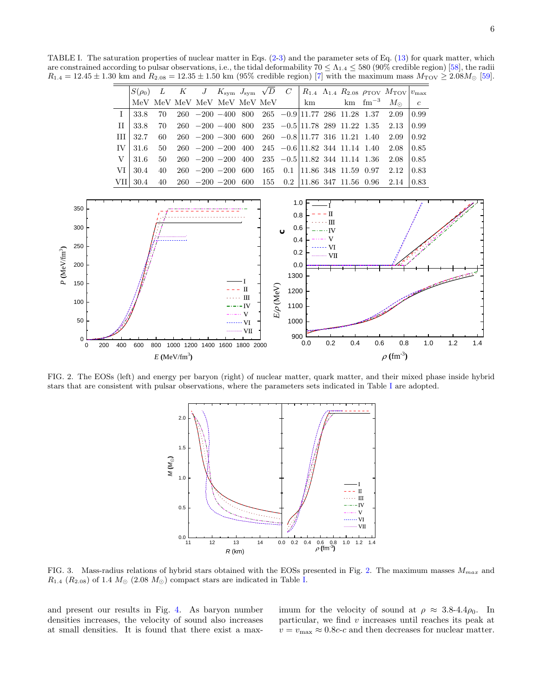TABLE I. The saturation properties of nuclear matter in Eqs. [\(2-3\)](#page-1-1) and the parameter sets of Eq. [\(13\)](#page-2-5) for quark matter, which are constrained according to pulsar observations, i.e., the tidal deformability  $70 \leq \Lambda_{1.4} \leq 580$  (90% credible region) [\[58\]](#page-8-16), the radii  $R_{1.4} = 12.45 \pm 1.30$  km and  $R_{2.08} = 12.35 \pm 1.50$  km (95% credible region) [\[7\]](#page-7-4) with the maximum mass  $M_{\text{TOV}} \geq 2.08 M_{\odot}$  [\[59\]](#page-8-17).

<span id="page-5-0"></span>

|    | $S(\rho_0)$ L |    | K J $K_{\text{sym}}$ $J_{\text{sym}}$ $\sqrt{D}$             |  | $\mathcal{C}$ |                              |  |                       | $R_{1.4}$ $\Lambda_{1.4}$ $R_{2.08}$ $\rho_{\text{TOV}}$ $M_{\text{TOV}}$ $ v_{\text{max}} $ |                |
|----|---------------|----|--------------------------------------------------------------|--|---------------|------------------------------|--|-----------------------|----------------------------------------------------------------------------------------------|----------------|
|    |               |    | MeV MeV MeV MeV MeV MeV MeV                                  |  |               | km                           |  | $km$ fm <sup>-3</sup> | $M_{\odot}$                                                                                  | $\mathfrak{c}$ |
|    | 33.8          | 70 | $260 -200 -400 -800 -265 -0.9111.77 -286 -11.28 -1.37 -2.09$ |  |               |                              |  |                       |                                                                                              | 0.99           |
| H  | 33.8          | 70 | $260 -200 -400 -800 -235 -0.5111.78 -289 -11.22 -1.35 -2.13$ |  |               |                              |  |                       |                                                                                              | 0.99           |
| ĦЕ | 32.7          | 60 | $260 -200 -300 600 260 -0.8111.77 316 11.21 1.40$            |  |               |                              |  |                       | 2.09                                                                                         | 0.92           |
| ΙV | 31.6          | 50 | $260 -200 -200$ 400 $245 -0.6$ 11.82 344 11.14 1.40          |  |               |                              |  |                       | 2.08                                                                                         | 0.85           |
| V  | -31.6         | 50 | $260 -200 -200$ 400 $235 -0.5$ 11.82 344 11.14 1.36          |  |               |                              |  |                       | 2.08                                                                                         | 0.85           |
| VI | 30.4          | 40 | $260 - 200 - 200 600$                                        |  |               | 165 0.1 11.86 348 11.59 0.97 |  |                       | 2.12                                                                                         | 0.83           |
|    | 30.4          | 40 | $260 -200 -200 600$                                          |  |               | 155 0.2 11.86 347 11.56 0.96 |  |                       | 2.14                                                                                         | 0.83           |



<span id="page-5-1"></span>FIG. 2. The EOSs (left) and energy per baryon (right) of nuclear matter, quark matter, and their mixed phase inside hybrid stars that are consistent with pulsar observations, where the parameters sets indicated in Table [I](#page-5-0) are adopted.



<span id="page-5-2"></span>FIG. 3. Mass-radius relations of hybrid stars obtained with the EOSs presented in Fig. [2.](#page-5-1) The maximum masses  $M_{max}$  and  $R_{1.4}$  ( $R_{2.08}$ ) of 1.4  $M_{\odot}$  (2.08  $M_{\odot}$ ) compact stars are indicated in Table [I.](#page-5-0)

and present our results in Fig. [4.](#page-6-1) As baryon number densities increases, the velocity of sound also increases at small densities. It is found that there exist a maximum for the velocity of sound at  $\rho \approx 3.8{\text -}4.4\rho_0$ . In particular, we find v increases until reaches its peak at  $v = v_{\text{max}} \approx 0.8c-c$  and then decreases for nuclear matter.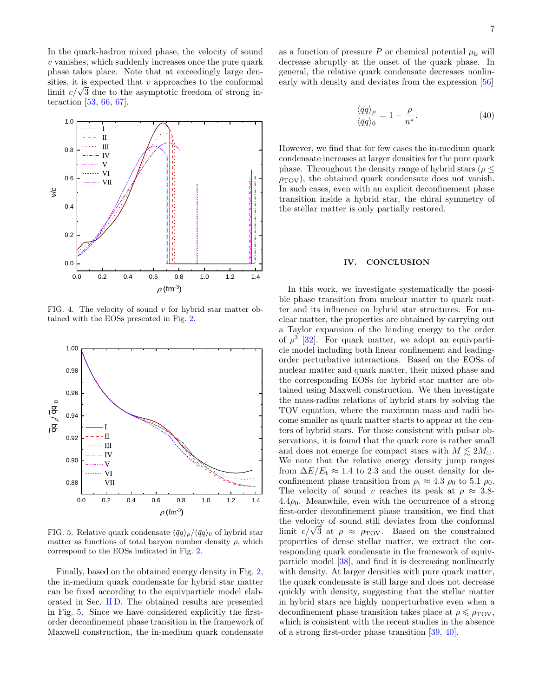In the quark-hadron mixed phase, the velocity of sound v vanishes, which suddenly increases once the pure quark phase takes place. Note that at exceedingly large densities, it is expected that  $v$  approaches to the conformal sities, it is expected that v approaches to the conformal<br>limit  $c/\sqrt{3}$  due to the asymptotic freedom of strong interaction [\[53,](#page-8-6) [66,](#page-8-18) [67\]](#page-8-19).



<span id="page-6-1"></span>FIG. 4. The velocity of sound  $v$  for hybrid star matter obtained with the EOSs presented in Fig. [2.](#page-5-1)



<span id="page-6-2"></span>FIG. 5. Relative quark condensate  $\langle \bar{q}q \rangle_{\rho}/\langle \bar{q}q \rangle_{0}$  of hybrid star matter as functions of total baryon number density  $\rho$ , which correspond to the EOSs indicated in Fig. [2.](#page-5-1)

Finally, based on the obtained energy density in Fig. [2,](#page-5-1) the in-medium quark condensate for hybrid star matter can be fixed according to the equivparticle model elaborated in Sec. [II D.](#page-3-9) The obtained results are presented in Fig. [5.](#page-6-2) Since we have considered explicitly the firstorder deconfinement phase transition in the framework of Maxwell construction, the in-medium quark condensate

as a function of pressure P or chemical potential  $\mu_{\rm b}$  will decrease abruptly at the onset of the quark phase. In general, the relative quark condensate decreases nonlinearly with density and deviates from the expression [\[56\]](#page-8-10)

$$
\frac{\langle \bar{q}q \rangle_{\rho}}{\langle \bar{q}q \rangle_{0}} = 1 - \frac{\rho}{n^{*}}.
$$
\n(40)

However, we find that for few cases the in-medium quark condensate increases at larger densities for the pure quark phase. Throughout the density range of hybrid stars ( $\rho \leq$  $\rho_{\rm TOV}$ ), the obtained quark condensate does not vanish. In such cases, even with an explicit deconfinement phase transition inside a hybrid star, the chiral symmetry of the stellar matter is only partially restored.

## <span id="page-6-0"></span>IV. CONCLUSION

In this work, we investigate systematically the possible phase transition from nuclear matter to quark matter and its influence on hybrid star structures. For nuclear matter, the properties are obtained by carrying out a Taylor expansion of the binding energy to the order of  $\rho^3$  [\[32\]](#page-7-17). For quark matter, we adopt an equivparticle model including both linear confinement and leadingorder perturbative interactions. Based on the EOSs of nuclear matter and quark matter, their mixed phase and the corresponding EOSs for hybrid star matter are obtained using Maxwell construction. We then investigate the mass-radius relations of hybrid stars by solving the TOV equation, where the maximum mass and radii become smaller as quark matter starts to appear at the centers of hybrid stars. For those consistent with pulsar observations, it is found that the quark core is rather small and does not emerge for compact stars with  $M \lesssim 2M_{\odot}$ . We note that the relative energy density jump ranges from  $\Delta E/E_t \approx 1.4$  to 2.3 and the onset density for deconfinement phase transition from  $\rho_t \approx 4.3 \rho_0$  to 5.1  $\rho_0$ . The velocity of sound v reaches its peak at  $\rho \approx 3.8$ - $4.4\rho_0$ . Meanwhile, even with the occurrence of a strong first-order deconfinement phase transition, we find that the velocity of sound still deviates from the conformal the velocity of sound still deviates from the conformal<br>limit  $c/\sqrt{3}$  at  $\rho \approx \rho_{\text{TOV}}$ . Based on the constrained properties of dense stellar matter, we extract the corresponding quark condensate in the framework of equivparticle model [\[38\]](#page-7-21), and find it is decreasing nonlinearly with density. At larger densities with pure quark matter, the quark condensate is still large and does not decrease quickly with density, suggesting that the stellar matter in hybrid stars are highly nonperturbative even when a deconfinement phase transition takes place at  $\rho \leq \rho_{\text{TOV}}$ , which is consistent with the recent studies in the absence of a strong first-order phase transition [\[39,](#page-7-22) [40\]](#page-7-23).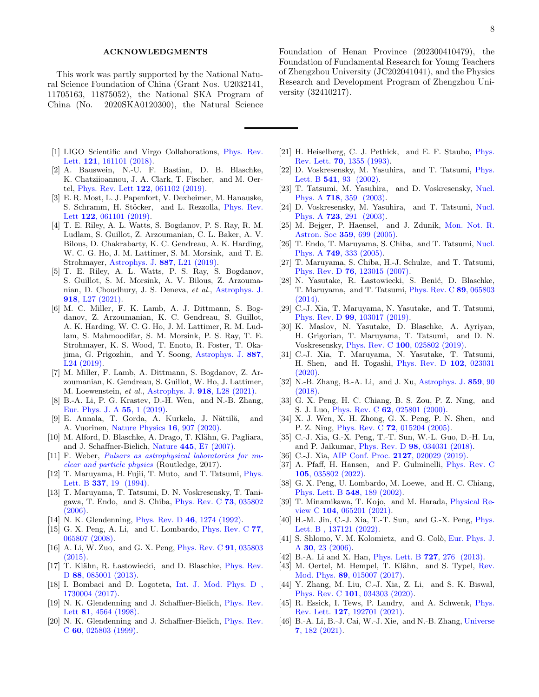### ACKNOWLEDGMENTS

This work was partly supported by the National Natural Science Foundation of China (Grant Nos. U2032141, 11705163, 11875052), the National SKA Program of China (No. 2020SKA0120300), the Natural Science

- Foundation of Henan Province (202300410479), the Foundation of Fundamental Research for Young Teachers of Zhengzhou University (JC202041041), and the Physics Research and Development Program of Zhengzhou University (32410217).
- <span id="page-7-0"></span>[1] LIGO Scientific and Virgo Collaborations, [Phys. Rev.](http://dx.doi.org/10.1103/PhysRevLett.121.161101) Lett. **121**[, 161101 \(2018\).](http://dx.doi.org/10.1103/PhysRevLett.121.161101)
- <span id="page-7-1"></span>[2] A. Bauswein, N.-U. F. Bastian, D. B. Blaschke, K. Chatziioannou, J. A. Clark, T. Fischer, and M. Oertel, [Phys. Rev. Lett](http://dx.doi.org/https://doi.org/10.1103/PhysRevLett.122.061102) 122, 061102 (2019).
- <span id="page-7-2"></span>[3] E. R. Most, L. J. Papenfort, V. Dexheimer, M. Hanauske, S. Schramm, H. Stöcker, and L. Rezzolla, [Phys. Rev.](http://dx.doi.org/ 10.1103/physrevlett.122.061101) Lett 122[, 061101 \(2019\).](http://dx.doi.org/ 10.1103/physrevlett.122.061101)
- <span id="page-7-3"></span>[4] T. E. Riley, A. L. Watts, S. Bogdanov, P. S. Ray, R. M. Ludlam, S. Guillot, Z. Arzoumanian, C. L. Baker, A. V. Bilous, D. Chakrabarty, K. C. Gendreau, A. K. Harding, W. C. G. Ho, J. M. Lattimer, S. M. Morsink, and T. E. Strohmayer, [Astrophys. J.](http://dx.doi.org/ 10.3847/2041-8213/ab481c) 887, L21 (2019).
- [5] T. E. Riley, A. L. Watts, P. S. Ray, S. Bogdanov, S. Guillot, S. M. Morsink, A. V. Bilous, Z. Arzoumanian, D. Choudhury, J. S. Deneva, et al., [Astrophys. J.](http://dx.doi.org/ https://doi.org/10.3847/2041-8213/ac0a81) 918[, L27 \(2021\).](http://dx.doi.org/ https://doi.org/10.3847/2041-8213/ac0a81)
- [6] M. C. Miller, F. K. Lamb, A. J. Dittmann, S. Bogdanov, Z. Arzoumanian, K. C. Gendreau, S. Guillot, A. K. Harding, W. C. G. Ho, J. M. Lattimer, R. M. Ludlam, S. Mahmoodifar, S. M. Morsink, P. S. Ray, T. E. Strohmayer, K. S. Wood, T. Enoto, R. Foster, T. Okajima, G. Prigozhin, and Y. Soong, [Astrophys. J.](http://dx.doi.org/10.3847/2041-8213/ab50c5) 887, [L24 \(2019\).](http://dx.doi.org/10.3847/2041-8213/ab50c5)
- <span id="page-7-4"></span>[7] M. Miller, F. Lamb, A. Dittmann, S. Bogdanov, Z. Arzoumanian, K. Gendreau, S. Guillot, W. Ho, J. Lattimer, M. Loewenstein, et al., [Astrophys. J.](https://doi.org/10.3847/2041-8213/ac089b) 918, L28 (2021).
- <span id="page-7-5"></span>[8] B.-A. Li, P. G. Krastev, D.-H. Wen, and N.-B. Zhang, [Eur. Phys. J. A](http://dx.doi.org/https://doi.org/10.1140/epja/i2019-12780-8) 55, 1 (2019).
- <span id="page-7-6"></span>[9] E. Annala, T. Gorda, A. Kurkela, J. Nättilä, and A. Vuorinen, [Nature Physics](http://dx.doi.org/ https://doi.org/10.1038/s41567-020-0914-9) 16, 907 (2020).
- <span id="page-7-7"></span>[10] M. Alford, D. Blaschke, A. Drago, T. Klähn, G. Pagliara, and J. Schaffner-Bielich, Nature 445[, E7 \(2007\).](http://dx.doi.org/ https://doi.org/10.1038/nature05582)
- <span id="page-7-8"></span>[11] F. Weber, [Pulsars as astrophysical laboratories for nu](http://dx.doi.org/https://doi.org/10.1201/9780203741719)[clear and particle physics](http://dx.doi.org/https://doi.org/10.1201/9780203741719) (Routledge, 2017).
- <span id="page-7-9"></span>[12] T. Maruyama, H. Fujii, T. Muto, and T. Tatsumi, [Phys.](http://dx.doi.org/ https://doi.org/10.1016/0370-2693(94)91436-2) Lett. B **337**[, 19 \(1994\).](http://dx.doi.org/ https://doi.org/10.1016/0370-2693(94)91436-2)
- <span id="page-7-10"></span>[13] T. Maruyama, T. Tatsumi, D. N. Voskresensky, T. Tanigawa, T. Endo, and S. Chiba, [Phys. Rev. C](http://dx.doi.org/ 10.1103/PhysRevC.73.035802) 73, 035802 [\(2006\).](http://dx.doi.org/ 10.1103/PhysRevC.73.035802)
- <span id="page-7-11"></span>[14] N. K. Glendenning, *[Phys. Rev. D](http://dx.doi.org/https://doi.org/10.1103/PhysRevD.46.1274)* 46, 1274 (1992).
- [15] G. X. Peng, A. Li, and U. Lombardo, [Phys. Rev. C](http://dx.doi.org/10.1103/PhysRevC.77.065807) 77, [065807 \(2008\).](http://dx.doi.org/10.1103/PhysRevC.77.065807)
- [16] A. Li, W. Zuo, and G. X. Peng, [Phys. Rev. C](http://dx.doi.org/10.1103/PhysRevC.91.035803) 91, 035803 [\(2015\).](http://dx.doi.org/10.1103/PhysRevC.91.035803)
- [17] T. Klähn, R. Lastowiecki, and D. Blaschke, [Phys. Rev.](http://dx.doi.org/10.1103/PhysRevD.88.085001) D 88[, 085001 \(2013\).](http://dx.doi.org/10.1103/PhysRevD.88.085001)
- <span id="page-7-12"></span>[18] I. Bombaci and D. Logoteta, [Int. J. Mod. Phys. D ,](http://dx.doi.org/10.1142/S021827181730004X) [1730004 \(2017\).](http://dx.doi.org/10.1142/S021827181730004X)
- <span id="page-7-13"></span>[19] N. K. Glendenning and J. Schaffner-Bielich, [Phys. Rev.](http://dx.doi.org/ https://doi.org/10.1103/PhysRevLett.81.4564) Lett 81[, 4564 \(1998\).](http://dx.doi.org/ https://doi.org/10.1103/PhysRevLett.81.4564)
- <span id="page-7-14"></span>[20] N. K. Glendenning and J. Schaffner-Bielich, [Phys. Rev.](http://dx.doi.org/ https://doi.org/10.1103/PhysRevC.60.025803) C 60[, 025803 \(1999\).](http://dx.doi.org/ https://doi.org/10.1103/PhysRevC.60.025803)
- <span id="page-7-15"></span>[21] H. Heiselberg, C. J. Pethick, and E. F. Staubo, [Phys.](http://dx.doi.org/10.1103/PhysRevLett.70.1355) Rev. Lett. 70[, 1355 \(1993\).](http://dx.doi.org/10.1103/PhysRevLett.70.1355)
- [22] D. Voskresensky, M. Yasuhira, and T. Tatsumi, [Phys.](http://www.sciencedirect.com/science/article/pii/S037026930202186X) Lett. B **541**[, 93 \(2002\).](http://www.sciencedirect.com/science/article/pii/S037026930202186X)
- [23] T. Tatsumi, M. Yasuhira, and D. Voskresensky, [Nucl.](http://www.sciencedirect.com/science/article/pii/S0375947403007395) Phys. A 718[, 359 \(2003\).](http://www.sciencedirect.com/science/article/pii/S0375947403007395)
- [24] D. Voskresensky, M. Yasuhira, and T. Tatsumi, [Nucl.](http://www.sciencedirect.com/science/article/pii/S0375947403013137) Phys. A 723[, 291 \(2003\).](http://www.sciencedirect.com/science/article/pii/S0375947403013137)
- [25] M. Bejger, P. Haensel, and J. Zdunik, [Mon. Not. R.](https://doi.org/10.1111/j.1365-2966.2005.08933.x) Astron. Soc 359[, 699 \(2005\).](https://doi.org/10.1111/j.1365-2966.2005.08933.x)
- [26] T. Endo, T. Maruyama, S. Chiba, and T. Tatsumi, [Nucl.](http://www.sciencedirect.com/science/article/pii/S0375947404012813) Phys. A 749[, 333 \(2005\).](http://www.sciencedirect.com/science/article/pii/S0375947404012813)
- [27] T. Maruyama, S. Chiba, H.-J. Schulze, and T. Tatsumi, Phys. Rev. D 76[, 123015 \(2007\).](http://dx.doi.org/10.1103/PhysRevD.76.123015)
- [28] N. Yasutake, R. Lastowiecki, S. Benić, D. Blaschke, T. Maruyama, and T. Tatsumi, [Phys. Rev. C](http://dx.doi.org/10.1103/PhysRevC.89.065803) 89, 065803 [\(2014\).](http://dx.doi.org/10.1103/PhysRevC.89.065803)
- <span id="page-7-29"></span>[29] C.-J. Xia, T. Maruyama, N. Yasutake, and T. Tatsumi, Phys. Rev. D 99[, 103017 \(2019\).](http://dx.doi.org/10.1103/PhysRevD.99.103017)
- [30] K. Maslov, N. Yasutake, D. Blaschke, A. Ayriyan, H. Grigorian, T. Maruyama, T. Tatsumi, and D. N. Voskresensky, Phys. Rev. C 100[, 025802 \(2019\).](http://dx.doi.org/ 10.1103/PhysRevC.100.025802)
- <span id="page-7-16"></span>[31] C.-J. Xia, T. Maruyama, N. Yasutake, T. Tatsumi, H. Shen, and H. Togashi, [Phys. Rev. D](http://dx.doi.org/ 10.1103/PhysRevD.102.023031) 102, 023031 [\(2020\).](http://dx.doi.org/ 10.1103/PhysRevD.102.023031)
- <span id="page-7-17"></span>[32] N.-B. Zhang, B.-A. Li, and J. Xu, [Astrophys. J.](http://dx.doi.org/10.3847/1538-4357/aac027) 859, 90 [\(2018\).](http://dx.doi.org/10.3847/1538-4357/aac027)
- <span id="page-7-18"></span>[33] G. X. Peng, H. C. Chiang, B. S. Zou, P. Z. Ning, and S. J. Luo, *Phys. Rev. C* **62**[, 025801 \(2000\).](http://dx.doi.org/ 10.1103/PhysRevC.62.025801)
- <span id="page-7-28"></span>[34] X. J. Wen, X. H. Zhong, G. X. Peng, P. N. Shen, and P. Z. Ning, Phys. Rev. C 72[, 015204 \(2005\).](http://dx.doi.org/ 10.1103/PhysRevC.72.015204)
- [35] C.-J. Xia, G.-X. Peng, T.-T. Sun, W.-L. Guo, D.-H. Lu, and P. Jaikumar, Phys. Rev. D 98[, 034031 \(2018\).](http://dx.doi.org/ 10.1103/PhysRevD.98.034031)
- <span id="page-7-19"></span>[36] C.-J. Xia, [AIP Conf. Proc.](http://dx.doi.org/10.1063/1.5117819) **2127**, 020029 (2019).
- <span id="page-7-20"></span>[37] A. Pfaff, H. Hansen, and F. Gulminelli, [Phys. Rev. C](http://dx.doi.org/https://doi.org/10.1103/PhysRevC.105.035802) 105[, 035802 \(2022\).](http://dx.doi.org/https://doi.org/10.1103/PhysRevC.105.035802)
- <span id="page-7-21"></span>[38] G. X. Peng, U. Lombardo, M. Loewe, and H. C. Chiang, [Phys. Lett. B](http://dx.doi.org/ 10.1016/S0370-2693(02)02842-3) 548, 189 (2002).
- <span id="page-7-22"></span>[39] T. Minamikawa, T. Kojo, and M. Harada, [Physical Re](http://dx.doi.org/https://doi.org/10.1103/PhysRevC.104.065201)view C 104[, 065201 \(2021\).](http://dx.doi.org/https://doi.org/10.1103/PhysRevC.104.065201)
- <span id="page-7-23"></span>[40] H.-M. Jin, C.-J. Xia, T.-T. Sun, and G.-X. Peng, *[Phys.](https://doi.org/10.1016/j.physletb.2022.137121)* [Lett. B , 137121 \(2022\).](https://doi.org/10.1016/j.physletb.2022.137121)
- <span id="page-7-24"></span>[41] S. Shlomo, V. M. Kolomietz, and G. Colò, [Eur. Phys. J.](http://dx.doi.org/10.1140/epja/i2006-10100-3) A 30[, 23 \(2006\).](http://dx.doi.org/10.1140/epja/i2006-10100-3)
- <span id="page-7-25"></span>[42] B.-A. Li and X. Han, *[Phys. Lett. B](http://dx.doi.org/http://dx.doi.org/10.1016/j.physletb.2013.10.006)* **727**, 276 (2013).
- [43] M. Oertel, M. Hempel, T. Klähn, and S. Typel, [Rev.](http://dx.doi.org/10.1103/RevModPhys.89.015007) Mod. Phys. 89[, 015007 \(2017\).](http://dx.doi.org/10.1103/RevModPhys.89.015007)
- <span id="page-7-30"></span>[44] Y. Zhang, M. Liu, C.-J. Xia, Z. Li, and S. K. Biswal, Phys. Rev. C 101[, 034303 \(2020\).](http://dx.doi.org/ 10.1103/PhysRevC.101.034303)
- <span id="page-7-26"></span>[45] R. Essick, I. Tews, P. Landry, and A. Schwenk, [Phys.](http://dx.doi.org/ 10.1103/PhysRevLett.127.192701) Rev. Lett. 127[, 192701 \(2021\).](http://dx.doi.org/ 10.1103/PhysRevLett.127.192701)
- <span id="page-7-27"></span>[46] B.-A. Li, B.-J. Cai, W.-J. Xie, and N.-B. Zhang, [Universe](http://dx.doi.org/10.3390/universe7060182) 7[, 182 \(2021\).](http://dx.doi.org/10.3390/universe7060182)